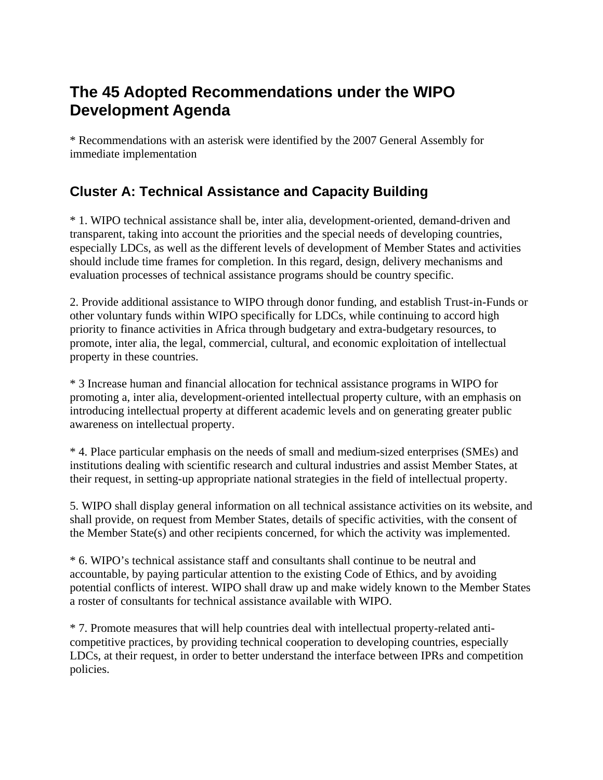# **The 45 Adopted Recommendations under the WIPO Development Agenda**

\* Recommendations with an asterisk were identified by the 2007 General Assembly for immediate implementation

# **Cluster A: Technical Assistance and Capacity Building**

\* 1. WIPO technical assistance shall be, inter alia, development-oriented, demand-driven and transparent, taking into account the priorities and the special needs of developing countries, especially LDCs, as well as the different levels of development of Member States and activities should include time frames for completion. In this regard, design, delivery mechanisms and evaluation processes of technical assistance programs should be country specific.

2. Provide additional assistance to WIPO through donor funding, and establish Trust-in-Funds or other voluntary funds within WIPO specifically for LDCs, while continuing to accord high priority to finance activities in Africa through budgetary and extra-budgetary resources, to promote, inter alia, the legal, commercial, cultural, and economic exploitation of intellectual property in these countries.

\* 3 Increase human and financial allocation for technical assistance programs in WIPO for promoting a, inter alia, development-oriented intellectual property culture, with an emphasis on introducing intellectual property at different academic levels and on generating greater public awareness on intellectual property.

\* 4. Place particular emphasis on the needs of small and medium-sized enterprises (SMEs) and institutions dealing with scientific research and cultural industries and assist Member States, at their request, in setting-up appropriate national strategies in the field of intellectual property.

5. WIPO shall display general information on all technical assistance activities on its website, and shall provide, on request from Member States, details of specific activities, with the consent of the Member State(s) and other recipients concerned, for which the activity was implemented.

\* 6. WIPO's technical assistance staff and consultants shall continue to be neutral and accountable, by paying particular attention to the existing Code of Ethics, and by avoiding potential conflicts of interest. WIPO shall draw up and make widely known to the Member States a roster of consultants for technical assistance available with WIPO.

\* 7. Promote measures that will help countries deal with intellectual property-related anticompetitive practices, by providing technical cooperation to developing countries, especially LDCs, at their request, in order to better understand the interface between IPRs and competition policies.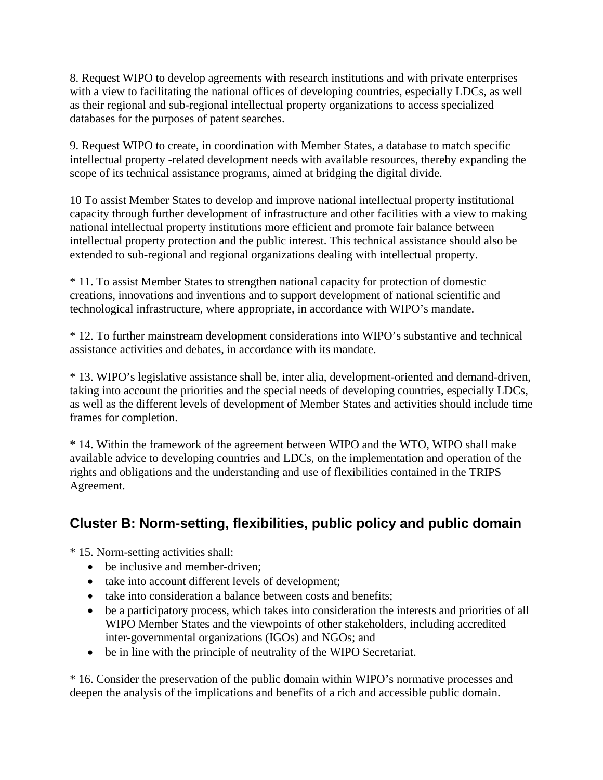8. Request WIPO to develop agreements with research institutions and with private enterprises with a view to facilitating the national offices of developing countries, especially LDCs, as well as their regional and sub-regional intellectual property organizations to access specialized databases for the purposes of patent searches.

9. Request WIPO to create, in coordination with Member States, a database to match specific intellectual property -related development needs with available resources, thereby expanding the scope of its technical assistance programs, aimed at bridging the digital divide.

10 To assist Member States to develop and improve national intellectual property institutional capacity through further development of infrastructure and other facilities with a view to making national intellectual property institutions more efficient and promote fair balance between intellectual property protection and the public interest. This technical assistance should also be extended to sub-regional and regional organizations dealing with intellectual property.

\* 11. To assist Member States to strengthen national capacity for protection of domestic creations, innovations and inventions and to support development of national scientific and technological infrastructure, where appropriate, in accordance with WIPO's mandate.

\* 12. To further mainstream development considerations into WIPO's substantive and technical assistance activities and debates, in accordance with its mandate.

\* 13. WIPO's legislative assistance shall be, inter alia, development-oriented and demand-driven, taking into account the priorities and the special needs of developing countries, especially LDCs, as well as the different levels of development of Member States and activities should include time frames for completion.

\* 14. Within the framework of the agreement between WIPO and the WTO, WIPO shall make available advice to developing countries and LDCs, on the implementation and operation of the rights and obligations and the understanding and use of flexibilities contained in the TRIPS Agreement.

## **Cluster B: Norm-setting, flexibilities, public policy and public domain**

\* 15. Norm-setting activities shall:

- be inclusive and member-driven:
- take into account different levels of development;
- take into consideration a balance between costs and benefits;
- be a participatory process, which takes into consideration the interests and priorities of all WIPO Member States and the viewpoints of other stakeholders, including accredited inter-governmental organizations (IGOs) and NGOs; and
- be in line with the principle of neutrality of the WIPO Secretariat.

\* 16. Consider the preservation of the public domain within WIPO's normative processes and deepen the analysis of the implications and benefits of a rich and accessible public domain.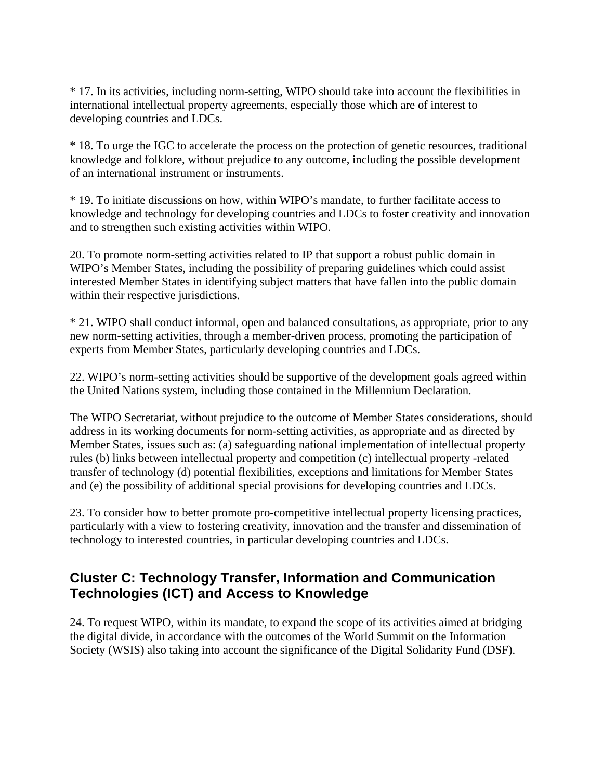\* 17. In its activities, including norm-setting, WIPO should take into account the flexibilities in international intellectual property agreements, especially those which are of interest to developing countries and LDCs.

\* 18. To urge the IGC to accelerate the process on the protection of genetic resources, traditional knowledge and folklore, without prejudice to any outcome, including the possible development of an international instrument or instruments.

\* 19. To initiate discussions on how, within WIPO's mandate, to further facilitate access to knowledge and technology for developing countries and LDCs to foster creativity and innovation and to strengthen such existing activities within WIPO.

20. To promote norm-setting activities related to IP that support a robust public domain in WIPO's Member States, including the possibility of preparing guidelines which could assist interested Member States in identifying subject matters that have fallen into the public domain within their respective jurisdictions.

\* 21. WIPO shall conduct informal, open and balanced consultations, as appropriate, prior to any new norm-setting activities, through a member-driven process, promoting the participation of experts from Member States, particularly developing countries and LDCs.

22. WIPO's norm-setting activities should be supportive of the development goals agreed within the United Nations system, including those contained in the Millennium Declaration.

The WIPO Secretariat, without prejudice to the outcome of Member States considerations, should address in its working documents for norm-setting activities, as appropriate and as directed by Member States, issues such as: (a) safeguarding national implementation of intellectual property rules (b) links between intellectual property and competition (c) intellectual property -related transfer of technology (d) potential flexibilities, exceptions and limitations for Member States and (e) the possibility of additional special provisions for developing countries and LDCs.

23. To consider how to better promote pro-competitive intellectual property licensing practices, particularly with a view to fostering creativity, innovation and the transfer and dissemination of technology to interested countries, in particular developing countries and LDCs.

#### **Cluster C: Technology Transfer, Information and Communication Technologies (ICT) and Access to Knowledge**

24. To request WIPO, within its mandate, to expand the scope of its activities aimed at bridging the digital divide, in accordance with the outcomes of the World Summit on the Information Society (WSIS) also taking into account the significance of the Digital Solidarity Fund (DSF).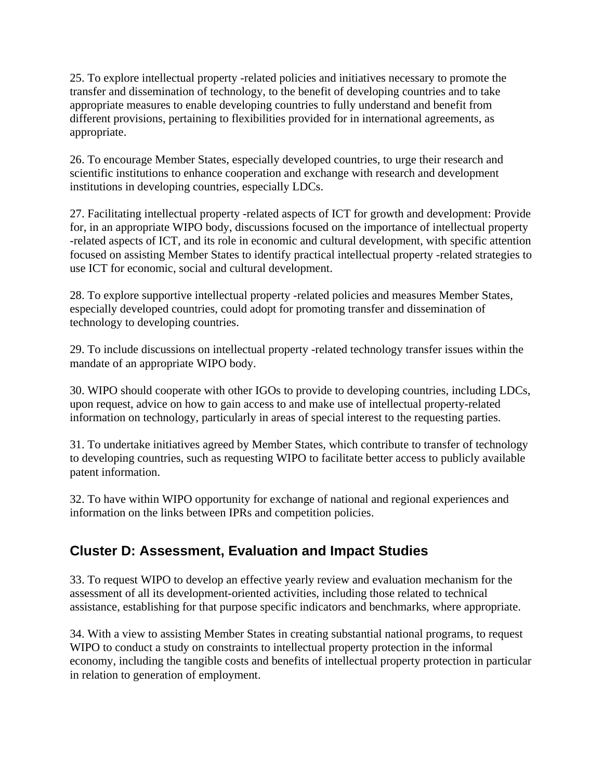25. To explore intellectual property -related policies and initiatives necessary to promote the transfer and dissemination of technology, to the benefit of developing countries and to take appropriate measures to enable developing countries to fully understand and benefit from different provisions, pertaining to flexibilities provided for in international agreements, as appropriate.

26. To encourage Member States, especially developed countries, to urge their research and scientific institutions to enhance cooperation and exchange with research and development institutions in developing countries, especially LDCs.

27. Facilitating intellectual property -related aspects of ICT for growth and development: Provide for, in an appropriate WIPO body, discussions focused on the importance of intellectual property -related aspects of ICT, and its role in economic and cultural development, with specific attention focused on assisting Member States to identify practical intellectual property -related strategies to use ICT for economic, social and cultural development.

28. To explore supportive intellectual property -related policies and measures Member States, especially developed countries, could adopt for promoting transfer and dissemination of technology to developing countries.

29. To include discussions on intellectual property -related technology transfer issues within the mandate of an appropriate WIPO body.

30. WIPO should cooperate with other IGOs to provide to developing countries, including LDCs, upon request, advice on how to gain access to and make use of intellectual property-related information on technology, particularly in areas of special interest to the requesting parties.

31. To undertake initiatives agreed by Member States, which contribute to transfer of technology to developing countries, such as requesting WIPO to facilitate better access to publicly available patent information.

32. To have within WIPO opportunity for exchange of national and regional experiences and information on the links between IPRs and competition policies.

## **Cluster D: Assessment, Evaluation and Impact Studies**

33. To request WIPO to develop an effective yearly review and evaluation mechanism for the assessment of all its development-oriented activities, including those related to technical assistance, establishing for that purpose specific indicators and benchmarks, where appropriate.

34. With a view to assisting Member States in creating substantial national programs, to request WIPO to conduct a study on constraints to intellectual property protection in the informal economy, including the tangible costs and benefits of intellectual property protection in particular in relation to generation of employment.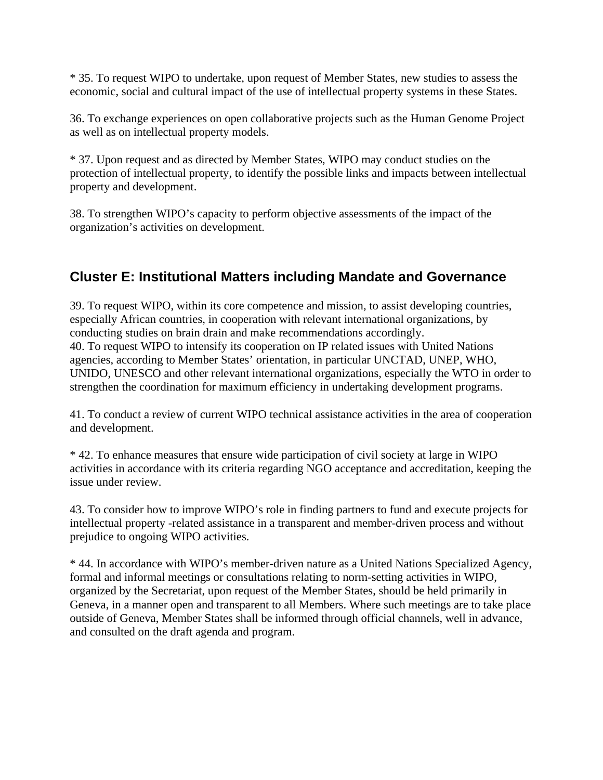\* 35. To request WIPO to undertake, upon request of Member States, new studies to assess the economic, social and cultural impact of the use of intellectual property systems in these States.

36. To exchange experiences on open collaborative projects such as the Human Genome Project as well as on intellectual property models.

\* 37. Upon request and as directed by Member States, WIPO may conduct studies on the protection of intellectual property, to identify the possible links and impacts between intellectual property and development.

38. To strengthen WIPO's capacity to perform objective assessments of the impact of the organization's activities on development.

## **Cluster E: Institutional Matters including Mandate and Governance**

39. To request WIPO, within its core competence and mission, to assist developing countries, especially African countries, in cooperation with relevant international organizations, by conducting studies on brain drain and make recommendations accordingly. 40. To request WIPO to intensify its cooperation on IP related issues with United Nations agencies, according to Member States' orientation, in particular UNCTAD, UNEP, WHO, UNIDO, UNESCO and other relevant international organizations, especially the WTO in order to strengthen the coordination for maximum efficiency in undertaking development programs.

41. To conduct a review of current WIPO technical assistance activities in the area of cooperation and development.

\* 42. To enhance measures that ensure wide participation of civil society at large in WIPO activities in accordance with its criteria regarding NGO acceptance and accreditation, keeping the issue under review.

43. To consider how to improve WIPO's role in finding partners to fund and execute projects for intellectual property -related assistance in a transparent and member-driven process and without prejudice to ongoing WIPO activities.

\* 44. In accordance with WIPO's member-driven nature as a United Nations Specialized Agency, formal and informal meetings or consultations relating to norm-setting activities in WIPO, organized by the Secretariat, upon request of the Member States, should be held primarily in Geneva, in a manner open and transparent to all Members. Where such meetings are to take place outside of Geneva, Member States shall be informed through official channels, well in advance, and consulted on the draft agenda and program.